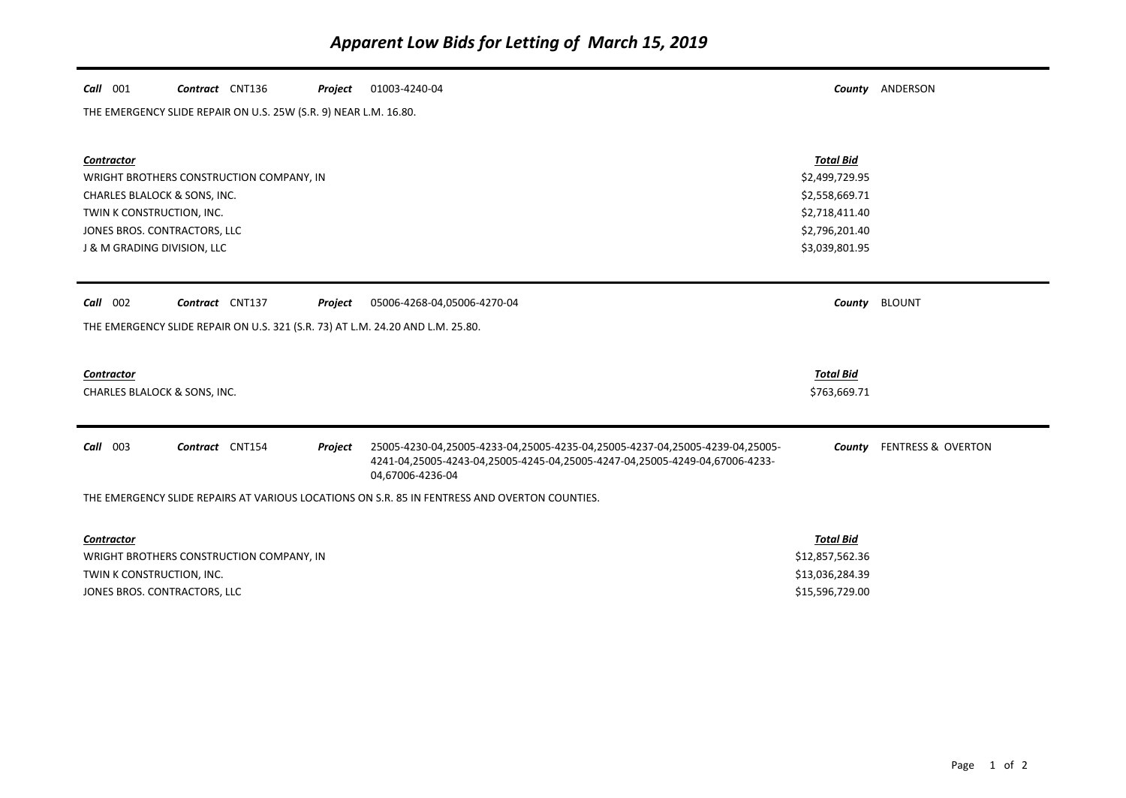| $Call$ 001                                                                                    | Contract CNT136                          | Project          | 01003-4240-04                                                                |                  | County ANDERSON               |  |  |  |  |  |
|-----------------------------------------------------------------------------------------------|------------------------------------------|------------------|------------------------------------------------------------------------------|------------------|-------------------------------|--|--|--|--|--|
| THE EMERGENCY SLIDE REPAIR ON U.S. 25W (S.R. 9) NEAR L.M. 16.80.                              |                                          |                  |                                                                              |                  |                               |  |  |  |  |  |
|                                                                                               |                                          |                  |                                                                              |                  |                               |  |  |  |  |  |
| <b>Contractor</b>                                                                             |                                          |                  |                                                                              | <b>Total Bid</b> |                               |  |  |  |  |  |
|                                                                                               | WRIGHT BROTHERS CONSTRUCTION COMPANY, IN | \$2,499,729.95   |                                                                              |                  |                               |  |  |  |  |  |
|                                                                                               | CHARLES BLALOCK & SONS, INC.             | \$2,558,669.71   |                                                                              |                  |                               |  |  |  |  |  |
| TWIN K CONSTRUCTION, INC.                                                                     |                                          | \$2,718,411.40   |                                                                              |                  |                               |  |  |  |  |  |
|                                                                                               | JONES BROS. CONTRACTORS, LLC             | \$2,796,201.40   |                                                                              |                  |                               |  |  |  |  |  |
| J & M GRADING DIVISION, LLC                                                                   |                                          | \$3,039,801.95   |                                                                              |                  |                               |  |  |  |  |  |
|                                                                                               |                                          |                  |                                                                              |                  |                               |  |  |  |  |  |
| Call 002                                                                                      | Contract CNT137                          | Project          | 05006-4268-04,05006-4270-04                                                  | County           | <b>BLOUNT</b>                 |  |  |  |  |  |
|                                                                                               |                                          |                  |                                                                              |                  |                               |  |  |  |  |  |
| THE EMERGENCY SLIDE REPAIR ON U.S. 321 (S.R. 73) AT L.M. 24.20 AND L.M. 25.80.                |                                          |                  |                                                                              |                  |                               |  |  |  |  |  |
|                                                                                               |                                          |                  |                                                                              |                  |                               |  |  |  |  |  |
| <b>Contractor</b>                                                                             |                                          |                  |                                                                              | <b>Total Bid</b> |                               |  |  |  |  |  |
|                                                                                               | CHARLES BLALOCK & SONS, INC.             | \$763,669.71     |                                                                              |                  |                               |  |  |  |  |  |
|                                                                                               |                                          |                  |                                                                              |                  |                               |  |  |  |  |  |
| Call 003                                                                                      | Contract CNT154                          | Project          | 25005-4230-04,25005-4233-04,25005-4235-04,25005-4237-04,25005-4239-04,25005- | County           | <b>FENTRESS &amp; OVERTON</b> |  |  |  |  |  |
|                                                                                               |                                          |                  | 4241-04,25005-4243-04,25005-4245-04,25005-4247-04,25005-4249-04,67006-4233-  |                  |                               |  |  |  |  |  |
|                                                                                               |                                          |                  | 04,67006-4236-04                                                             |                  |                               |  |  |  |  |  |
| THE EMERGENCY SLIDE REPAIRS AT VARIOUS LOCATIONS ON S.R. 85 IN FENTRESS AND OVERTON COUNTIES. |                                          |                  |                                                                              |                  |                               |  |  |  |  |  |
|                                                                                               |                                          |                  |                                                                              |                  |                               |  |  |  |  |  |
| <b>Contractor</b>                                                                             |                                          | <b>Total Bid</b> |                                                                              |                  |                               |  |  |  |  |  |
|                                                                                               | WRIGHT BROTHERS CONSTRUCTION COMPANY, IN | \$12,857,562.36  |                                                                              |                  |                               |  |  |  |  |  |
| TWIN K CONSTRUCTION, INC.                                                                     |                                          | \$13,036,284.39  |                                                                              |                  |                               |  |  |  |  |  |
|                                                                                               | JONES BROS. CONTRACTORS, LLC             | \$15,596,729.00  |                                                                              |                  |                               |  |  |  |  |  |